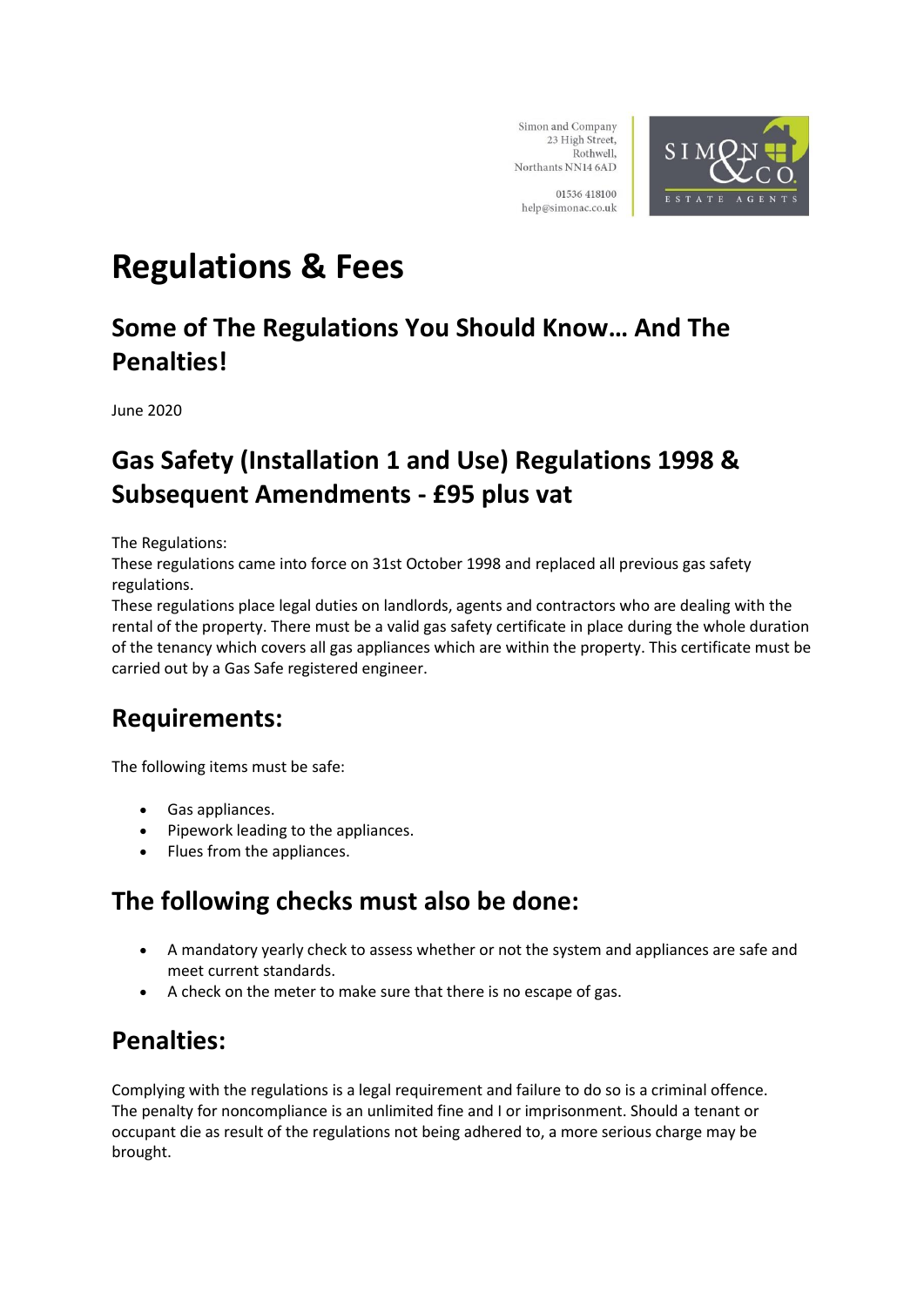

01536 418100 help@simonac.co.uk

# **Regulations & Fees**

### **Some of The Regulations You Should Know… And The Penalties!**

June 2020

### **Gas Safety (Installation 1 and Use) Regulations 1998 & Subsequent Amendments - £95 plus vat**

The Regulations:

These regulations came into force on 31st October 1998 and replaced all previous gas safety regulations.

These regulations place legal duties on landlords, agents and contractors who are dealing with the rental of the property. There must be a valid gas safety certificate in place during the whole duration of the tenancy which covers all gas appliances which are within the property. This certificate must be carried out by a Gas Safe registered engineer.

### **Requirements:**

The following items must be safe:

- Gas appliances.
- Pipework leading to the appliances.
- Flues from the appliances.

#### **The following checks must also be done:**

- A mandatory yearly check to assess whether or not the system and appliances are safe and meet current standards.
- A check on the meter to make sure that there is no escape of gas.

#### **Penalties:**

Complying with the regulations is a legal requirement and failure to do so is a criminal offence. The penalty for noncompliance is an unlimited fine and I or imprisonment. Should a tenant or occupant die as result of the regulations not being adhered to, a more serious charge may be brought.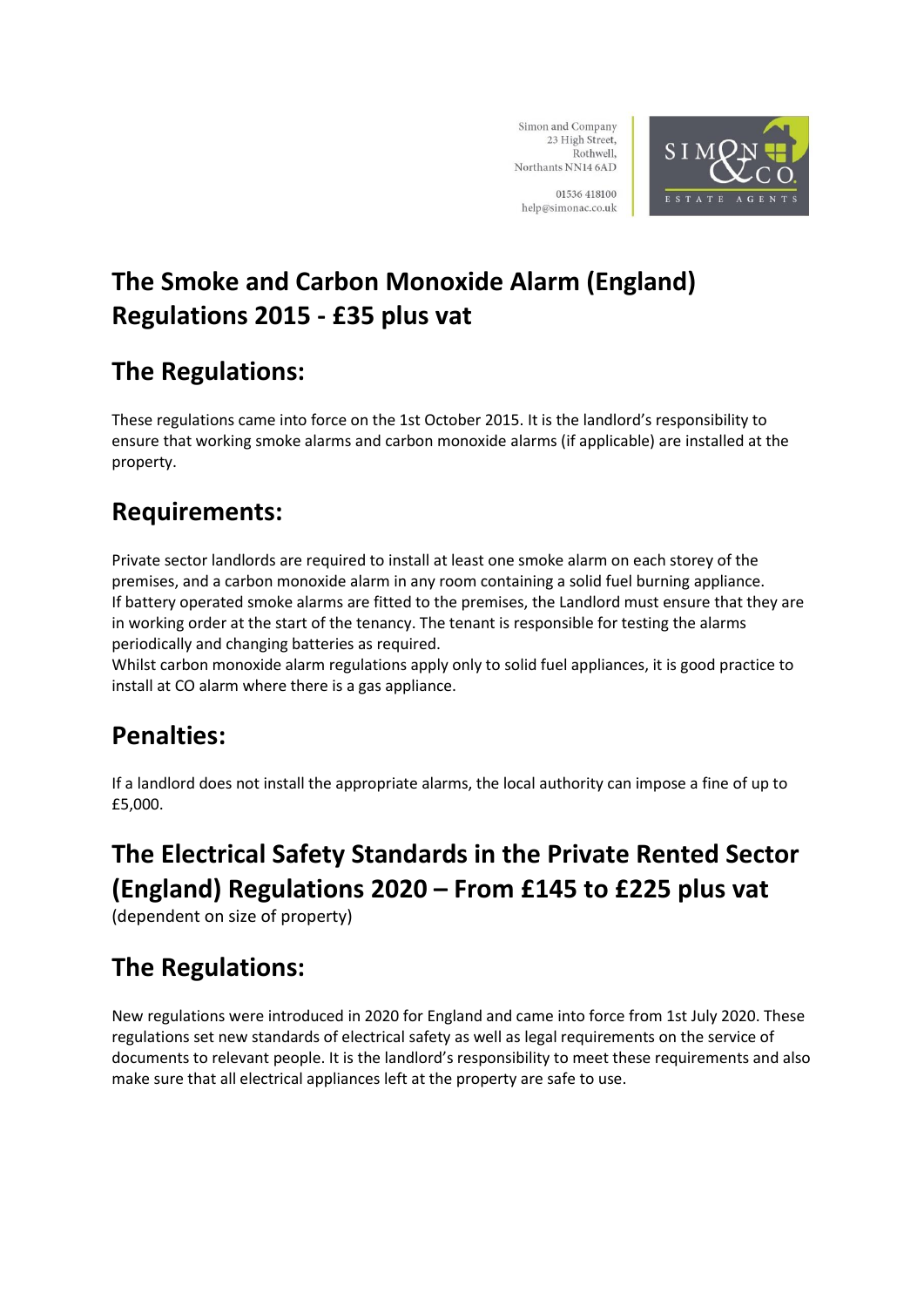

01536 418100 help@simonac.co.uk

## **The Smoke and Carbon Monoxide Alarm (England) Regulations 2015 - £35 plus vat**

### **The Regulations:**

These regulations came into force on the 1st October 2015. It is the landlord's responsibility to ensure that working smoke alarms and carbon monoxide alarms (if applicable) are installed at the property.

### **Requirements:**

Private sector landlords are required to install at least one smoke alarm on each storey of the premises, and a carbon monoxide alarm in any room containing a solid fuel burning appliance. If battery operated smoke alarms are fitted to the premises, the Landlord must ensure that they are in working order at the start of the tenancy. The tenant is responsible for testing the alarms periodically and changing batteries as required.

Whilst carbon monoxide alarm regulations apply only to solid fuel appliances, it is good practice to install at CO alarm where there is a gas appliance.

### **Penalties:**

If a landlord does not install the appropriate alarms, the local authority can impose a fine of up to £5,000.

### **The Electrical Safety Standards in the Private Rented Sector (England) Regulations 2020 – From £145 to £225 plus vat**

(dependent on size of property)

## **The Regulations:**

New regulations were introduced in 2020 for England and came into force from 1st July 2020. These regulations set new standards of electrical safety as well as legal requirements on the service of documents to relevant people. It is the landlord's responsibility to meet these requirements and also make sure that all electrical appliances left at the property are safe to use.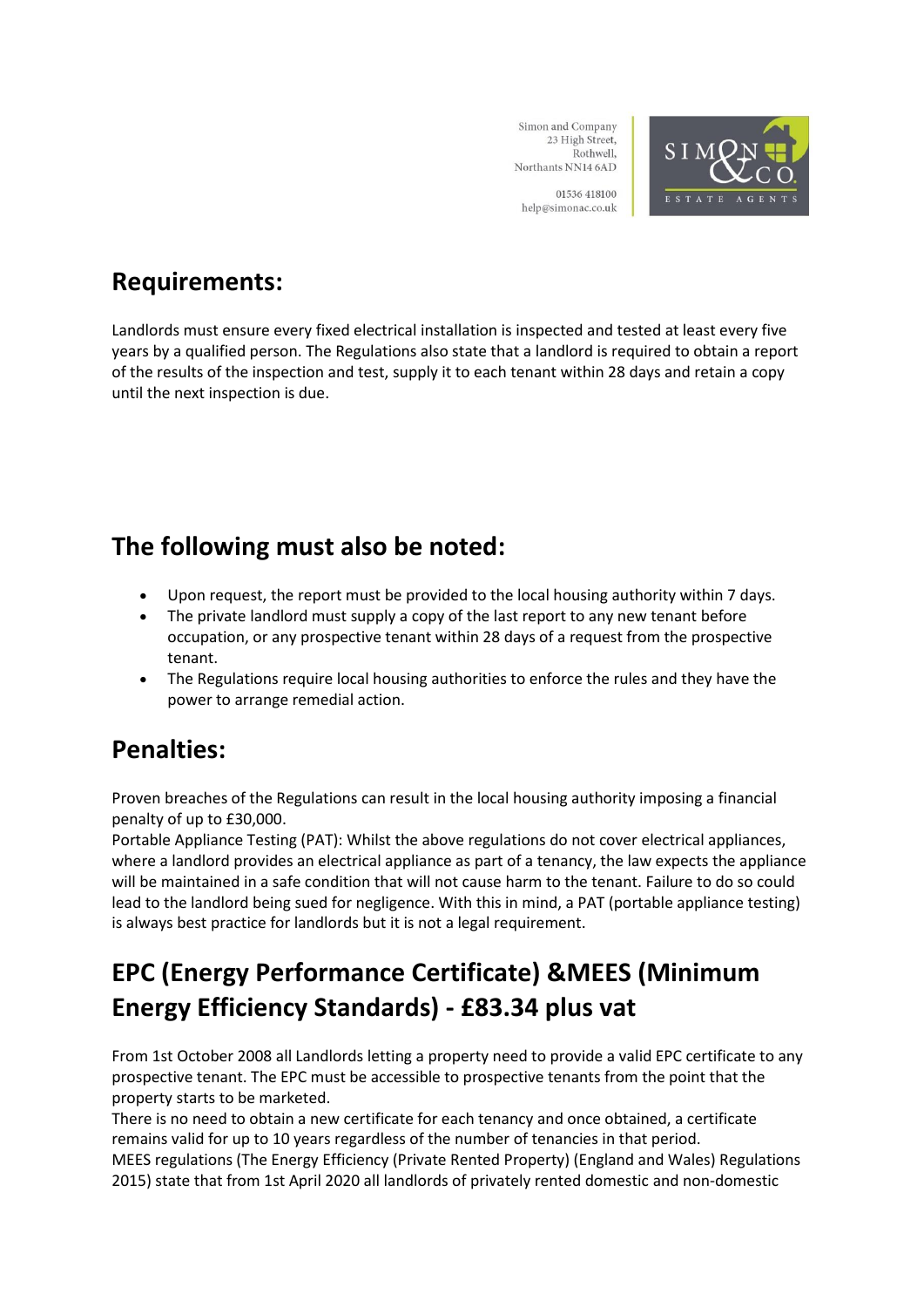

Northants NN14 6AD 01536 418100

Simon and Company 23 High Street,

Rothwell,

help@simonac.co.uk

### **Requirements:**

Landlords must ensure every fixed electrical installation is inspected and tested at least every five years by a qualified person. The Regulations also state that a landlord is required to obtain a report of the results of the inspection and test, supply it to each tenant within 28 days and retain a copy until the next inspection is due.

#### **The following must also be noted:**

- Upon request, the report must be provided to the local housing authority within 7 days.
- The private landlord must supply a copy of the last report to any new tenant before occupation, or any prospective tenant within 28 days of a request from the prospective tenant.
- The Regulations require local housing authorities to enforce the rules and they have the power to arrange remedial action.

### **Penalties:**

Proven breaches of the Regulations can result in the local housing authority imposing a financial penalty of up to £30,000.

Portable Appliance Testing (PAT): Whilst the above regulations do not cover electrical appliances, where a landlord provides an electrical appliance as part of a tenancy, the law expects the appliance will be maintained in a safe condition that will not cause harm to the tenant. Failure to do so could lead to the landlord being sued for negligence. With this in mind, a PAT (portable appliance testing) is always best practice for landlords but it is not a legal requirement.

### **EPC (Energy Performance Certificate) &MEES (Minimum Energy Efficiency Standards) - £83.34 plus vat**

From 1st October 2008 all Landlords letting a property need to provide a valid EPC certificate to any prospective tenant. The EPC must be accessible to prospective tenants from the point that the property starts to be marketed.

There is no need to obtain a new certificate for each tenancy and once obtained, a certificate remains valid for up to 10 years regardless of the number of tenancies in that period. MEES regulations (The Energy Efficiency (Private Rented Property) (England and Wales) Regulations 2015) state that from 1st April 2020 all landlords of privately rented domestic and non-domestic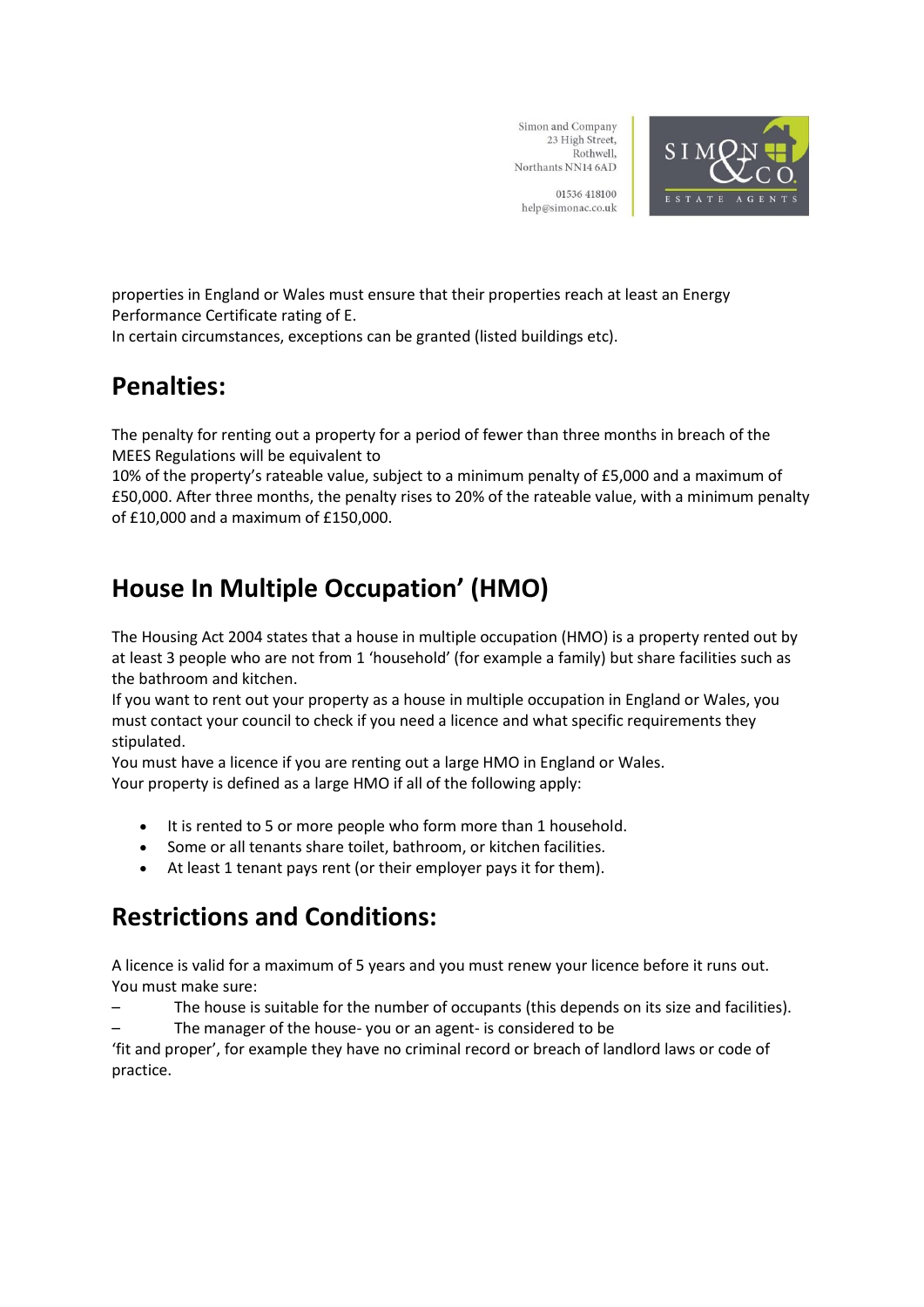

01536 418100 help@simonac.co.uk

properties in England or Wales must ensure that their properties reach at least an Energy Performance Certificate rating of E.

In certain circumstances, exceptions can be granted (listed buildings etc).

#### **Penalties:**

The penalty for renting out a property for a period of fewer than three months in breach of the MEES Regulations will be equivalent to

10% of the property's rateable value, subject to a minimum penalty of £5,000 and a maximum of £50,000. After three months, the penalty rises to 20% of the rateable value, with a minimum penalty of £10,000 and a maximum of £150,000.

### **House In Multiple Occupation' (HMO)**

The Housing Act 2004 states that a house in multiple occupation (HMO) is a property rented out by at least 3 people who are not from 1 'household' (for example a family) but share facilities such as the bathroom and kitchen.

If you want to rent out your property as a house in multiple occupation in England or Wales, you must contact your council to check if you need a licence and what specific requirements they stipulated.

You must have a licence if you are renting out a large HMO in England or Wales. Your property is defined as a large HMO if all of the following apply:

- It is rented to 5 or more people who form more than 1 household.
- Some or all tenants share toilet, bathroom, or kitchen facilities.
- At least 1 tenant pays rent (or their employer pays it for them).

### **Restrictions and Conditions:**

A licence is valid for a maximum of 5 years and you must renew your licence before it runs out. You must make sure:

- The house is suitable for the number of occupants (this depends on its size and facilities).
- The manager of the house- you or an agent- is considered to be

'fit and proper', for example they have no criminal record or breach of landlord laws or code of practice.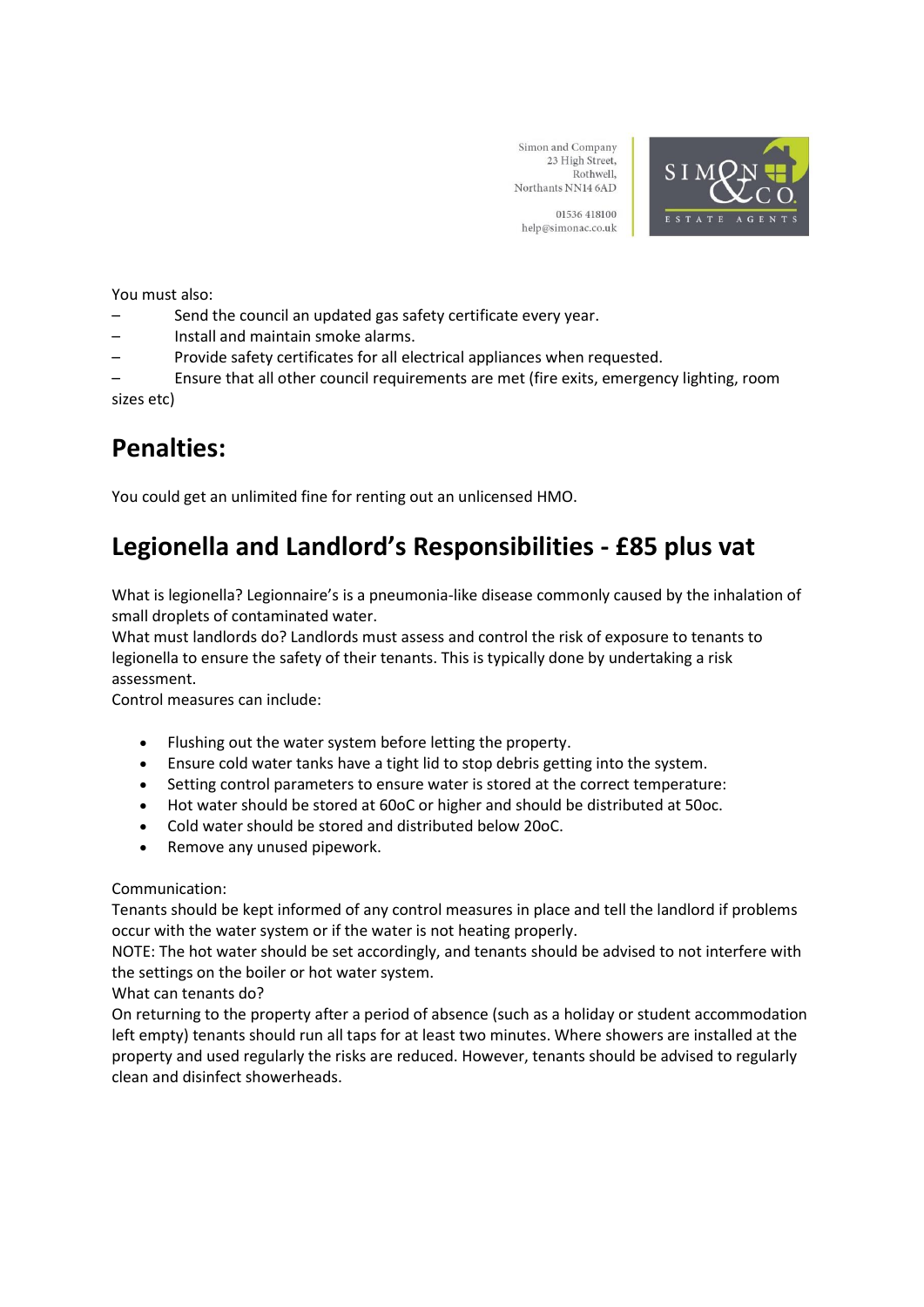

01536 418100 help@simonac.co.uk

You must also:

- Send the council an updated gas safety certificate every year.
- Install and maintain smoke alarms.
- Provide safety certificates for all electrical appliances when requested.

– Ensure that all other council requirements are met (fire exits, emergency lighting, room sizes etc)

#### **Penalties:**

You could get an unlimited fine for renting out an unlicensed HMO.

#### **Legionella and Landlord's Responsibilities - £85 plus vat**

What is legionella? Legionnaire's is a pneumonia-like disease commonly caused by the inhalation of small droplets of contaminated water.

What must landlords do? Landlords must assess and control the risk of exposure to tenants to legionella to ensure the safety of their tenants. This is typically done by undertaking a risk assessment.

Control measures can include:

- Flushing out the water system before letting the property.
- Ensure cold water tanks have a tight lid to stop debris getting into the system.
- Setting control parameters to ensure water is stored at the correct temperature:
- Hot water should be stored at 60oC or higher and should be distributed at 50oc.
- Cold water should be stored and distributed below 20oC.
- Remove any unused pipework.

Communication:

Tenants should be kept informed of any control measures in place and tell the landlord if problems occur with the water system or if the water is not heating properly.

NOTE: The hot water should be set accordingly, and tenants should be advised to not interfere with the settings on the boiler or hot water system.

What can tenants do?

On returning to the property after a period of absence (such as a holiday or student accommodation left empty) tenants should run all taps for at least two minutes. Where showers are installed at the property and used regularly the risks are reduced. However, tenants should be advised to regularly clean and disinfect showerheads.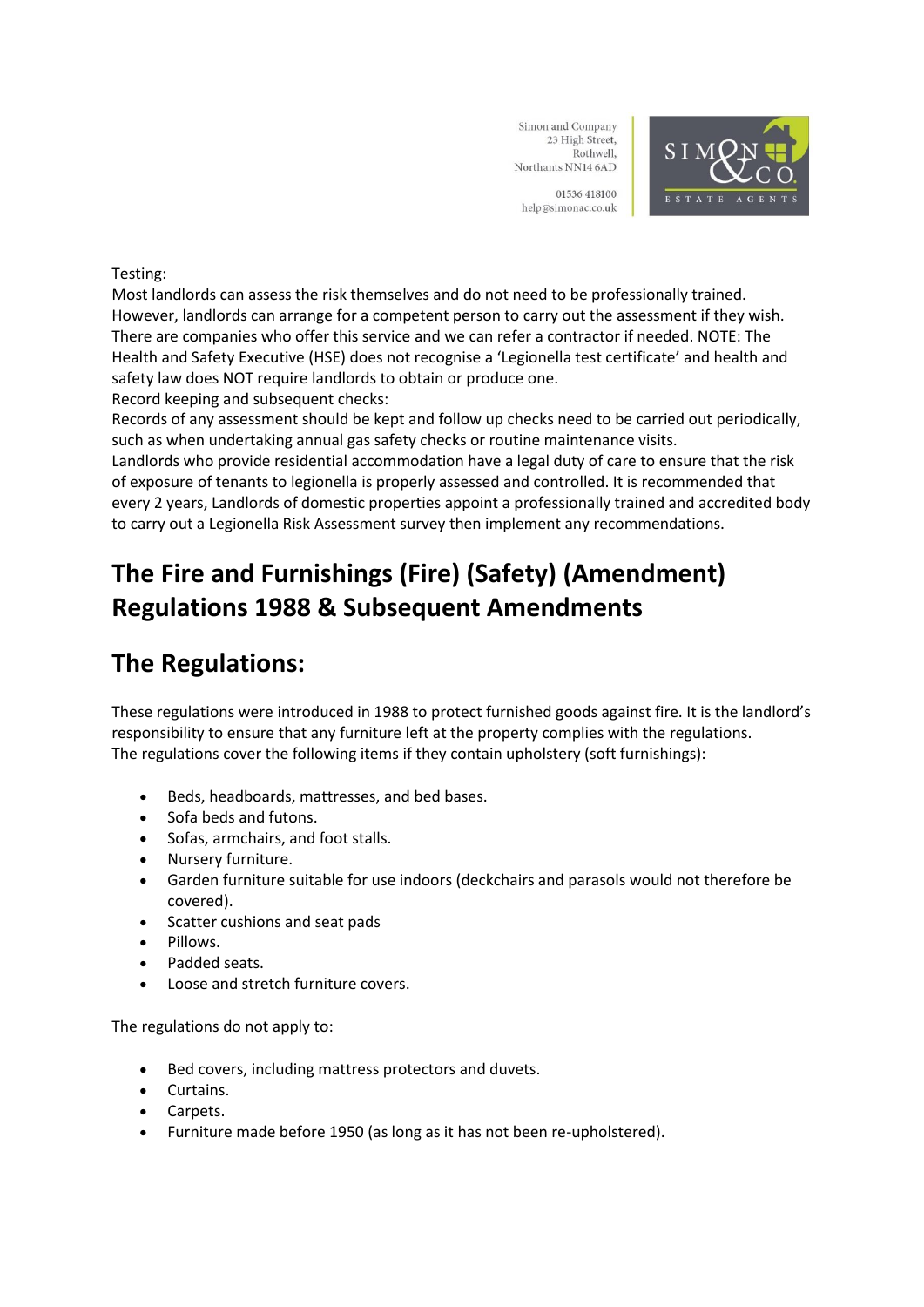

01536 418100 help@simonac.co.uk

#### Testing:

Most landlords can assess the risk themselves and do not need to be professionally trained. However, landlords can arrange for a competent person to carry out the assessment if they wish. There are companies who offer this service and we can refer a contractor if needed. NOTE: The Health and Safety Executive (HSE) does not recognise a 'Legionella test certificate' and health and safety law does NOT require landlords to obtain or produce one. Record keeping and subsequent checks:

Records of any assessment should be kept and follow up checks need to be carried out periodically, such as when undertaking annual gas safety checks or routine maintenance visits.

Landlords who provide residential accommodation have a legal duty of care to ensure that the risk of exposure of tenants to legionella is properly assessed and controlled. It is recommended that every 2 years, Landlords of domestic properties appoint a professionally trained and accredited body to carry out a Legionella Risk Assessment survey then implement any recommendations.

### **The Fire and Furnishings (Fire) (Safety) (Amendment) Regulations 1988 & Subsequent Amendments**

#### **The Regulations:**

These regulations were introduced in 1988 to protect furnished goods against fire. It is the landlord's responsibility to ensure that any furniture left at the property complies with the regulations. The regulations cover the following items if they contain upholstery (soft furnishings):

- Beds, headboards, mattresses, and bed bases.
- Sofa beds and futons.
- Sofas, armchairs, and foot stalls.
- Nursery furniture.
- Garden furniture suitable for use indoors (deckchairs and parasols would not therefore be covered).
- Scatter cushions and seat pads
- Pillows.
- Padded seats.
- Loose and stretch furniture covers.

The regulations do not apply to:

- Bed covers, including mattress protectors and duvets.
- Curtains.
- Carpets.
- Furniture made before 1950 (as long as it has not been re-upholstered).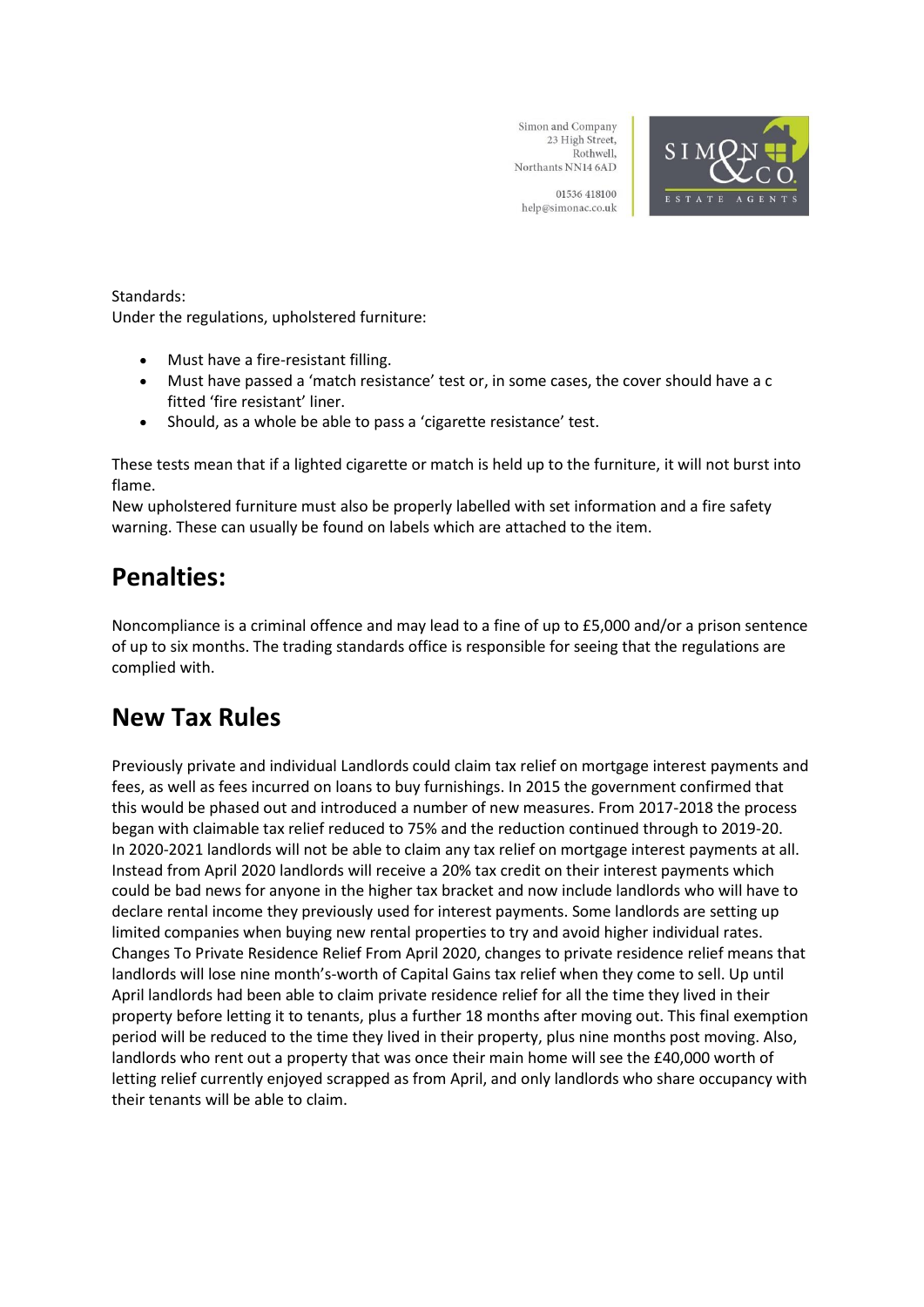

01536 418100 help@simonac.co.uk

#### Standards:

Under the regulations, upholstered furniture:

- Must have a fire-resistant filling.
- Must have passed a 'match resistance' test or, in some cases, the cover should have a c fitted 'fire resistant' liner.
- Should, as a whole be able to pass a 'cigarette resistance' test.

These tests mean that if a lighted cigarette or match is held up to the furniture, it will not burst into flame.

New upholstered furniture must also be properly labelled with set information and a fire safety warning. These can usually be found on labels which are attached to the item.

#### **Penalties:**

Noncompliance is a criminal offence and may lead to a fine of up to £5,000 and/or a prison sentence of up to six months. The trading standards office is responsible for seeing that the regulations are complied with.

#### **New Tax Rules**

Previously private and individual Landlords could claim tax relief on mortgage interest payments and fees, as well as fees incurred on loans to buy furnishings. In 2015 the government confirmed that this would be phased out and introduced a number of new measures. From 2017-2018 the process began with claimable tax relief reduced to 75% and the reduction continued through to 2019-20. In 2020-2021 landlords will not be able to claim any tax relief on mortgage interest payments at all. Instead from April 2020 landlords will receive a 20% tax credit on their interest payments which could be bad news for anyone in the higher tax bracket and now include landlords who will have to declare rental income they previously used for interest payments. Some landlords are setting up limited companies when buying new rental properties to try and avoid higher individual rates. Changes To Private Residence Relief From April 2020, changes to private residence relief means that landlords will lose nine month's-worth of Capital Gains tax relief when they come to sell. Up until April landlords had been able to claim private residence relief for all the time they lived in their property before letting it to tenants, plus a further 18 months after moving out. This final exemption period will be reduced to the time they lived in their property, plus nine months post moving. Also, landlords who rent out a property that was once their main home will see the £40,000 worth of letting relief currently enjoyed scrapped as from April, and only landlords who share occupancy with their tenants will be able to claim.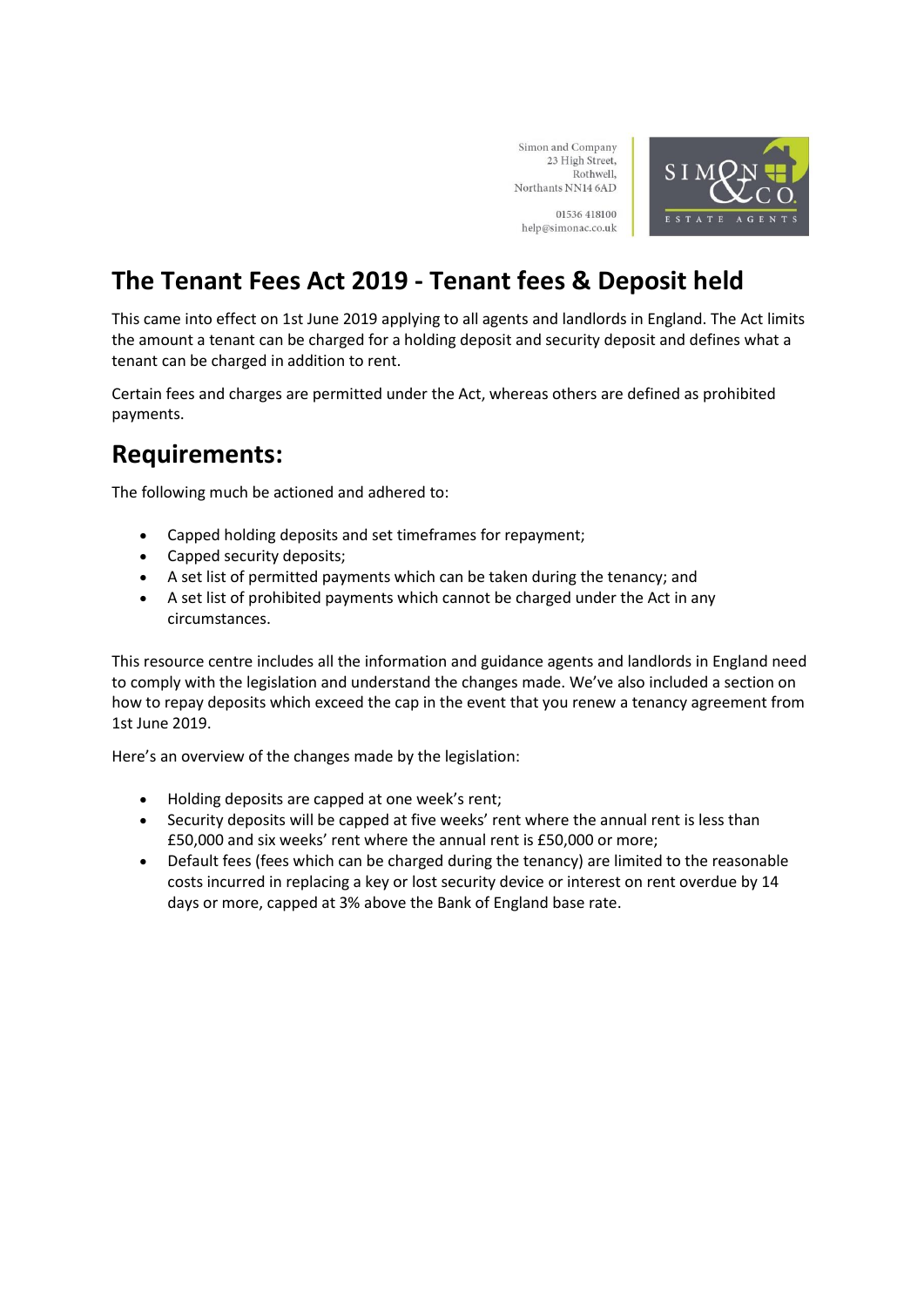Simon and Company 23 High Street, SIMON Rothwell, Northants NN14 6AD 01536 418100 ESTATI help@simonac.co.uk

### **The Tenant Fees Act 2019 - Tenant fees & Deposit held**

This came into effect on 1st June 2019 applying to all agents and landlords in England. The Act limits the amount a tenant can be charged for a holding deposit and security deposit and defines what a tenant can be charged in addition to rent.

Certain fees and charges are permitted under the Act, whereas others are defined as prohibited payments.

#### **Requirements:**

The following much be actioned and adhered to:

- Capped holding deposits and set timeframes for repayment;
- Capped security deposits;
- A set list of permitted payments which can be taken during the tenancy; and
- A set list of prohibited payments which cannot be charged under the Act in any circumstances.

This resource centre includes all the information and guidance agents and landlords in England need to comply with the legislation and understand the changes made. We've also included a section on how to repay deposits which exceed the cap in the event that you renew a tenancy agreement from 1st June 2019.

Here's an overview of the changes made by the legislation:

- Holding deposits are capped at one week's rent;
- Security deposits will be capped at five weeks' rent where the annual rent is less than £50,000 and six weeks' rent where the annual rent is £50,000 or more;
- Default fees (fees which can be charged during the tenancy) are limited to the reasonable costs incurred in replacing a key or lost security device or interest on rent overdue by 14 days or more, capped at 3% above the Bank of England base rate.